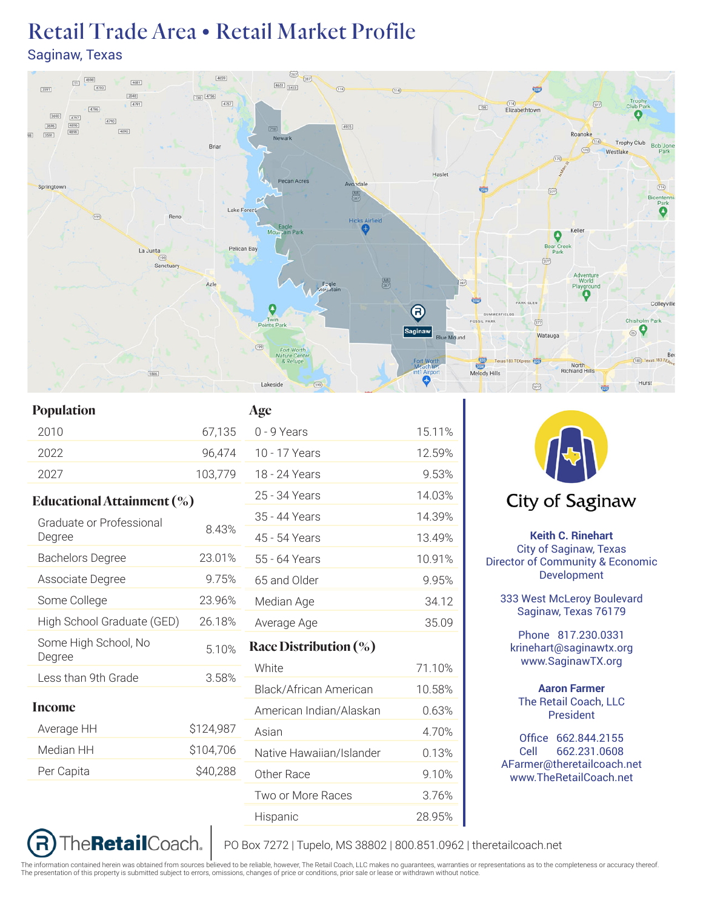## Retail Trade Area • Retail Market Profile Saginaw, Texas



15.11% 12.59% 9.53% 14.03% 14.39% 13.49% 10.91% 9.95% 34.12 Average Age 35.09

71.10% 10.58%  $0.63%$ 4.70% 0.13% 9.10% 3.76%

| Population                     |           | Age                      |
|--------------------------------|-----------|--------------------------|
| 2010                           | 67,135    | 0 - 9 Years              |
| 2022                           | 96,474    | 10 - 17 Years            |
| 2027                           | 103,779   | 18 - 24 Years            |
| Educational Attainment $(\%)$  |           | 25 - 34 Years            |
| Graduate or Professional       |           | 35 - 44 Years            |
| Degree                         | 8.43%     | 45 - 54 Years            |
| <b>Bachelors Degree</b>        | 23.01%    | 55 - 64 Years            |
| Associate Degree               | 9.75%     | 65 and Older             |
| Some College                   | 23.96%    | Median Age               |
| High School Graduate (GED)     | 26.18%    | Average Age              |
| Some High School, No<br>Degree | 5.10%     | Race Distribution $(\%)$ |
| Less than 9th Grade            | 3.58%     | White                    |
|                                |           | Black/African American   |
| Income                         |           | American Indian/Alaskan  |
| Average HH                     | \$124,987 | Asian                    |
| Median HH                      | \$104,706 | Native Hawaiian/Islander |
| Per Capita                     | \$40,288  | Other Race               |
|                                |           | Two or More Races        |

The**Retail**Coach.

R



## City of Saginaw

**Keith C. Rinehart** City of Saginaw, Texas Director of Community & Economic Development

333 West McLeroy Boulevard Saginaw, Texas 76179

Phone 817.230.0331 krinehart@saginawtx.org www.SaginawTX.org

**Aaron Farmer** The Retail Coach, LLC President

Office 662.844.2155 Cell 662.231.0608 AFarmer@theretailcoach.net www.TheRetailCoach.net

PO Box 7272 | Tupelo, MS 38802 | 800.851.0962 | theretailcoach.net

The information contained herein was obtained from sources believed to be reliable, however, The Retail Coach, LLC makes no guarantees, warranties or representations as to the completeness or accuracy thereof.<br>The presenta

Hispanic 28.95%